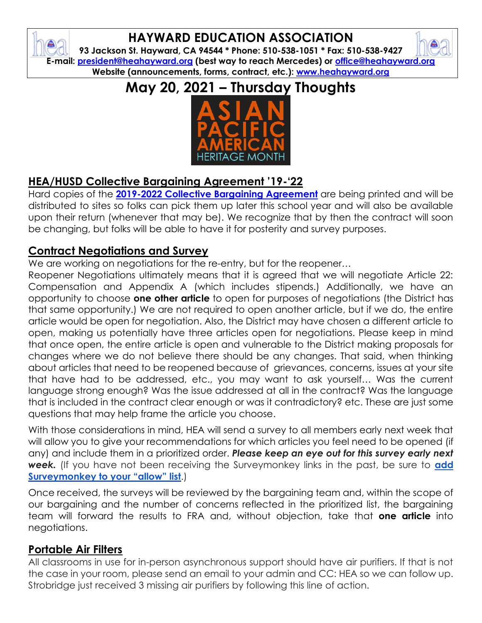## **HAYWARD EDUCATION ASSOCIATION**

**93 Jackson St. Hayward, CA 94544 \* Phone: 510-538-1051 \* Fax: 510-538-9427 E-mail: [president@heahayward.org](mailto:president@heahayward.org) (best way to reach Mercedes) or [office@heahayward.org](mailto:office@heahayward.org) Website (announcements, forms, contract, etc.): [www.heahayward.org](http://www.heahayward.org/)**

**May 20, 2021 – Thursday Thoughts**



## **HEA/HUSD Collective Bargaining Agreement '19-'22**

Hard copies of the **[2019-2022 Collective Bargaining Agreement](https://haywardusd-ca.schoolloop.com/file/1289141219277/1298973008260/43882746071095085761514311740129.pdf)** are being printed and will be distributed to sites so folks can pick them up later this school year and will also be available upon their return (whenever that may be). We recognize that by then the contract will soon be changing, but folks will be able to have it for posterity and survey purposes.

#### **Contract Negotiations and Survey**

We are working on negotiations for the re-entry, but for the reopener...

Reopener Negotiations ultimately means that it is agreed that we will negotiate Article 22: Compensation and Appendix A (which includes stipends.) Additionally, we have an opportunity to choose **one other article** to open for purposes of negotiations (the District has that same opportunity.) We are not required to open another article, but if we do, the entire article would be open for negotiation. Also, the District may have chosen a different article to open, making us potentially have three articles open for negotiations. Please keep in mind that once open, the entire article is open and vulnerable to the District making proposals for changes where we do not believe there should be any changes. That said, when thinking about articles that need to be reopened because of grievances, concerns, issues at your site that have had to be addressed, etc., you may want to ask yourself… Was the current language strong enough? Was the issue addressed at all in the contract? Was the language that is included in the contract clear enough or was it contradictory? etc. These are just some questions that may help frame the article you choose.

With those considerations in mind, HEA will send a survey to all members early next week that will allow you to give your recommendations for which articles you feel need to be opened (if any) and include them in a prioritized order. *Please keep an eye out for this survey early next week.* (If you have not been receiving the Surveymonkey links in the past, be sure to **[add](https://help.surveymonkey.com/articles/en_US/kb/What-are-the-IP-addresses-to-your-website-for-our-firewall-configurations?uid=2lBC0tRWi1NKcOZd_2BMNwAyZONc3QzZ6FbQGnylkIqgYr6N7BipkFVzIbssxq2C48L7O1PwDq_2By5NgT2HuEMQHpeX7pnCs792ysCIa1LZKNlkUl0TLX6D2MJ84EGu0i3R#Emails)  [Surveymonkey to your "allow" lis](https://help.surveymonkey.com/articles/en_US/kb/What-are-the-IP-addresses-to-your-website-for-our-firewall-configurations?uid=2lBC0tRWi1NKcOZd_2BMNwAyZONc3QzZ6FbQGnylkIqgYr6N7BipkFVzIbssxq2C48L7O1PwDq_2By5NgT2HuEMQHpeX7pnCs792ysCIa1LZKNlkUl0TLX6D2MJ84EGu0i3R#Emails)t**.)

Once received, the surveys will be reviewed by the bargaining team and, within the scope of our bargaining and the number of concerns reflected in the prioritized list, the bargaining team will forward the results to FRA and, without objection, take that **one article** into negotiations.

### **Portable Air Filters**

All classrooms in use for in-person asynchronous support should have air purifiers. If that is not the case in your room, please send an email to your admin and CC: HEA so we can follow up. Strobridge just received 3 missing air purifiers by following this line of action.